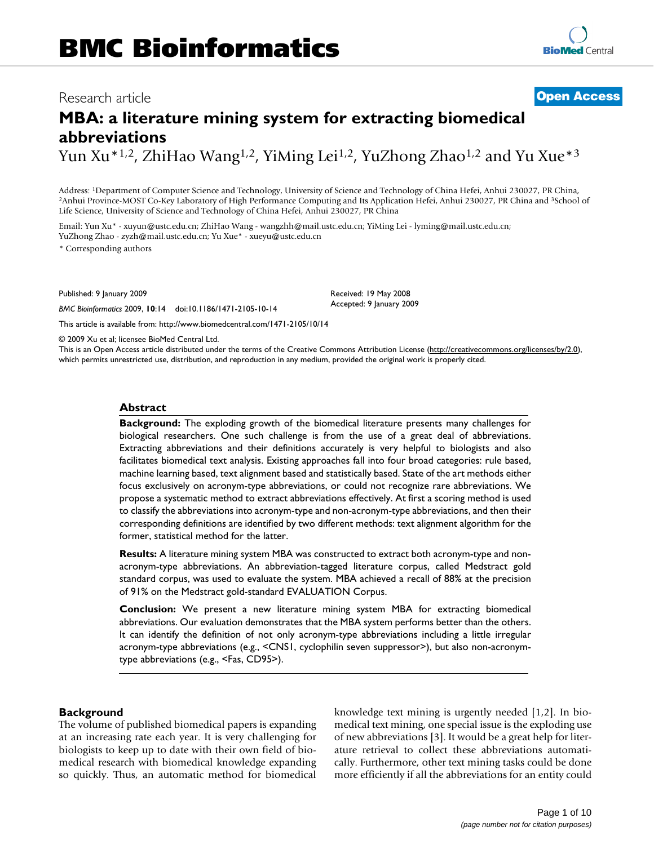# Research article **[Open Access](http://www.biomedcentral.com/info/about/charter/)**

# **MBA: a literature mining system for extracting biomedical abbreviations**

Yun Xu<sup>\*1,2</sup>, ZhiHao Wang<sup>1,2</sup>, YiMing Lei<sup>1,2</sup>, YuZhong Zhao<sup>1,2</sup> and Yu Xue<sup>\*3</sup>

Address: <sup>1</sup>Department of Computer Science and Technology, University of Science and Technology of China Hefei, Anhui 230027, PR China,<br><sup>2</sup>Anhui Province-MOST Co-Key Laboratory of High Performance Computing and Its Applica Life Science, University of Science and Technology of China Hefei, Anhui 230027, PR China

Email: Yun Xu\* - xuyun@ustc.edu.cn; ZhiHao Wang - wangzhh@mail.ustc.edu.cn; YiMing Lei - lyming@mail.ustc.edu.cn; YuZhong Zhao - zyzh@mail.ustc.edu.cn; Yu Xue\* - xueyu@ustc.edu.cn

\* Corresponding authors

Published: 9 January 2009

*BMC Bioinformatics* 2009, **10**:14 doi:10.1186/1471-2105-10-14

[This article is available from: http://www.biomedcentral.com/1471-2105/10/14](http://www.biomedcentral.com/1471-2105/10/14)

© 2009 Xu et al; licensee BioMed Central Ltd.

This is an Open Access article distributed under the terms of the Creative Commons Attribution License [\(http://creativecommons.org/licenses/by/2.0\)](http://creativecommons.org/licenses/by/2.0), which permits unrestricted use, distribution, and reproduction in any medium, provided the original work is properly cited.

# **Abstract**

**Background:** The exploding growth of the biomedical literature presents many challenges for biological researchers. One such challenge is from the use of a great deal of abbreviations. Extracting abbreviations and their definitions accurately is very helpful to biologists and also facilitates biomedical text analysis. Existing approaches fall into four broad categories: rule based, machine learning based, text alignment based and statistically based. State of the art methods either focus exclusively on acronym-type abbreviations, or could not recognize rare abbreviations. We propose a systematic method to extract abbreviations effectively. At first a scoring method is used to classify the abbreviations into acronym-type and non-acronym-type abbreviations, and then their corresponding definitions are identified by two different methods: text alignment algorithm for the former, statistical method for the latter.

**Results:** A literature mining system MBA was constructed to extract both acronym-type and nonacronym-type abbreviations. An abbreviation-tagged literature corpus, called Medstract gold standard corpus, was used to evaluate the system. MBA achieved a recall of 88% at the precision of 91% on the Medstract gold-standard EVALUATION Corpus.

**Conclusion:** We present a new literature mining system MBA for extracting biomedical abbreviations. Our evaluation demonstrates that the MBA system performs better than the others. It can identify the definition of not only acronym-type abbreviations including a little irregular acronym-type abbreviations (e.g., <CNS1, cyclophilin seven suppressor>), but also non-acronymtype abbreviations (e.g., <Fas, CD95>).

# **Background**

The volume of published biomedical papers is expanding at an increasing rate each year. It is very challenging for biologists to keep up to date with their own field of biomedical research with biomedical knowledge expanding so quickly. Thus, an automatic method for biomedical knowledge text mining is urgently needed [\[1](#page-9-0)[,2\]](#page-9-1). In biomedical text mining, one special issue is the exploding use of new abbreviations [\[3\]](#page-9-2). It would be a great help for literature retrieval to collect these abbreviations automatically. Furthermore, other text mining tasks could be done more efficiently if all the abbreviations for an entity could

Received: 19 May 2008 Accepted: 9 January 2009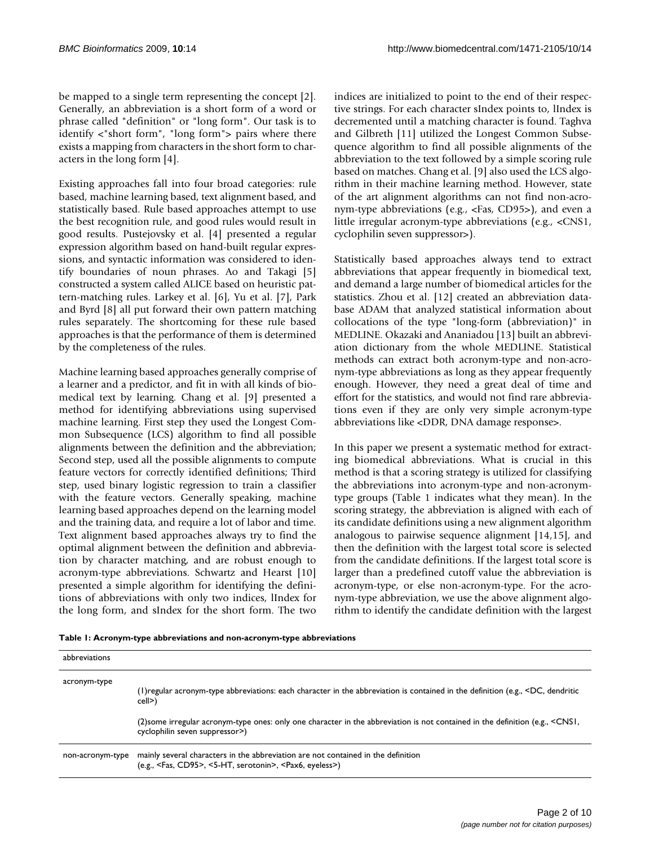be mapped to a single term representing the concept [[2](#page-9-1)]. Generally, an abbreviation is a short form of a word or phrase called "definition" or "long form". Our task is to identify <"short form", "long form"> pairs where there exists a mapping from characters in the short form to characters in the long form [\[4\]](#page-9-3).

Existing approaches fall into four broad categories: rule based, machine learning based, text alignment based, and statistically based. Rule based approaches attempt to use the best recognition rule, and good rules would result in good results. Pustejovsky et al. [\[4](#page-9-3)] presented a regular expression algorithm based on hand-built regular expressions, and syntactic information was considered to identify boundaries of noun phrases. Ao and Takagi [\[5\]](#page-9-4) constructed a system called ALICE based on heuristic pattern-matching rules. Larkey et al. [\[6\]](#page-9-5), Yu et al. [\[7\]](#page-9-6), Park and Byrd [\[8\]](#page-9-7) all put forward their own pattern matching rules separately. The shortcoming for these rule based approaches is that the performance of them is determined by the completeness of the rules.

Machine learning based approaches generally comprise of a learner and a predictor, and fit in with all kinds of biomedical text by learning. Chang et al. [\[9\]](#page-9-8) presented a method for identifying abbreviations using supervised machine learning. First step they used the Longest Common Subsequence (LCS) algorithm to find all possible alignments between the definition and the abbreviation; Second step, used all the possible alignments to compute feature vectors for correctly identified definitions; Third step, used binary logistic regression to train a classifier with the feature vectors. Generally speaking, machine learning based approaches depend on the learning model and the training data, and require a lot of labor and time. Text alignment based approaches always try to find the optimal alignment between the definition and abbreviation by character matching, and are robust enough to acronym-type abbreviations. Schwartz and Hearst [[10\]](#page-9-9) presented a simple algorithm for identifying the definitions of abbreviations with only two indices, lIndex for the long form, and sIndex for the short form. The two

indices are initialized to point to the end of their respective strings. For each character sIndex points to, lIndex is decremented until a matching character is found. Taghva and Gilbreth [\[11](#page-9-10)] utilized the Longest Common Subsequence algorithm to find all possible alignments of the abbreviation to the text followed by a simple scoring rule based on matches. Chang et al. [\[9\]](#page-9-8) also used the LCS algorithm in their machine learning method. However, state of the art alignment algorithms can not find non-acronym-type abbreviations (e.g., <Fas, CD95>), and even a little irregular acronym-type abbreviations (e.g., <CNS1, cyclophilin seven suppressor>).

Statistically based approaches always tend to extract abbreviations that appear frequently in biomedical text, and demand a large number of biomedical articles for the statistics. Zhou et al. [[12\]](#page-9-11) created an abbreviation database ADAM that analyzed statistical information about collocations of the type "long-form (abbreviation)" in MEDLINE. Okazaki and Ananiadou [\[13](#page-9-12)] built an abbreviation dictionary from the whole MEDLINE. Statistical methods can extract both acronym-type and non-acronym-type abbreviations as long as they appear frequently enough. However, they need a great deal of time and effort for the statistics, and would not find rare abbreviations even if they are only very simple acronym-type abbreviations like <DDR, DNA damage response>.

In this paper we present a systematic method for extracting biomedical abbreviations. What is crucial in this method is that a scoring strategy is utilized for classifying the abbreviations into acronym-type and non-acronymtype groups (Table [1](#page-1-0) indicates what they mean). In the scoring strategy, the abbreviation is aligned with each of its candidate definitions using a new alignment algorithm analogous to pairwise sequence alignment [\[14](#page-9-13)[,15](#page-9-14)], and then the definition with the largest total score is selected from the candidate definitions. If the largest total score is larger than a predefined cutoff value the abbreviation is acronym-type, or else non-acronym-type. For the acronym-type abbreviation, we use the above alignment algorithm to identify the candidate definition with the largest

<span id="page-1-0"></span>

| Table 1: Acronym-type abbreviations and non-acronym-type abbreviations |  |  |
|------------------------------------------------------------------------|--|--|
|                                                                        |  |  |

| abbreviations    |                                                                                                                                                                               |
|------------------|-------------------------------------------------------------------------------------------------------------------------------------------------------------------------------|
| acronym-type     | (1) regular acronym-type abbreviations: each character in the abbreviation is contained in the definition (e.g., $\leq$ DC, dendritic<br>cell>)                               |
|                  | (2) some irregular acronym-type ones: only one character in the abbreviation is not contained in the definition (e.g., <cns1,<br>cyclophilin seven suppressor&gt;)</cns1,<br> |
| non-acronym-type | mainly several characters in the abbreviation are not contained in the definition<br>(e.g., <fas, cd95="">, &lt;5-HT, serotonin&gt;, <pax6, eyeless="">)</pax6,></fas,>       |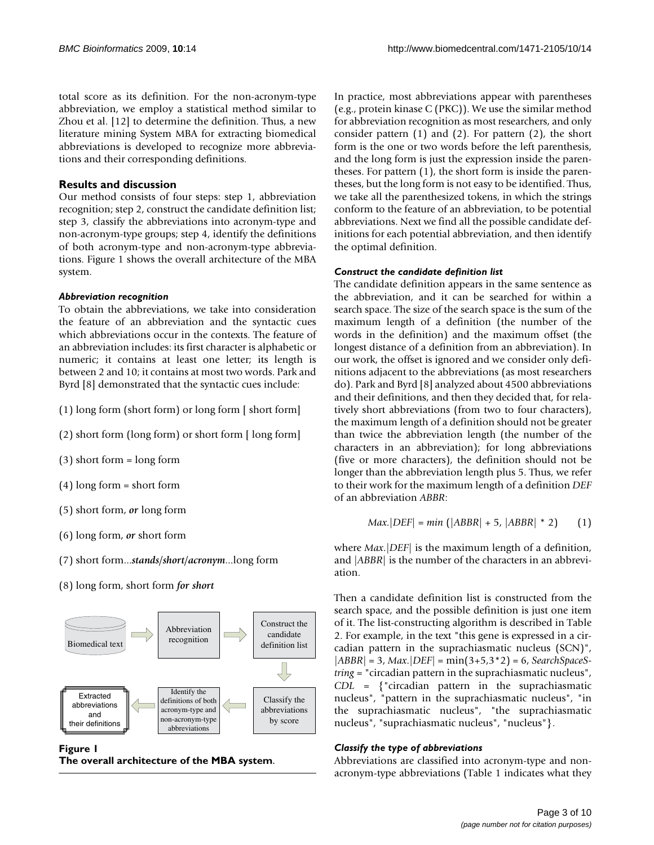total score as its definition. For the non-acronym-type abbreviation, we employ a statistical method similar to Zhou et al. [\[12](#page-9-11)] to determine the definition. Thus, a new literature mining System MBA for extracting biomedical abbreviations is developed to recognize more abbreviations and their corresponding definitions.

# **Results and discussion**

Our method consists of four steps: step 1, abbreviation recognition; step 2, construct the candidate definition list; step 3, classify the abbreviations into acronym-type and non-acronym-type groups; step 4, identify the definitions of both acronym-type and non-acronym-type abbreviations. Figure [1](#page-2-0) shows the overall architecture of the MBA system.

# *Abbreviation recognition*

To obtain the abbreviations, we take into consideration the feature of an abbreviation and the syntactic cues which abbreviations occur in the contexts. The feature of an abbreviation includes: its first character is alphabetic or numeric; it contains at least one letter; its length is between 2 and 10; it contains at most two words. Park and Byrd [[8\]](#page-9-7) demonstrated that the syntactic cues include:

- (1) long form (short form) or long form [ short form]
- (2) short form (long form) or short form [ long form]
- (3) short form = long form
- (4) long form = short form
- (5) short form, *or* long form
- (6) long form, *or* short form
- (7) short form...*stands/short/acronym*...long form
- (8) long form, short form *for short*

<span id="page-2-0"></span>

Figure 1 **The overall architecture of the MBA system**.

In practice, most abbreviations appear with parentheses (e.g., protein kinase C (PKC)). We use the similar method for abbreviation recognition as most researchers, and only consider pattern (1) and (2). For pattern (2), the short form is the one or two words before the left parenthesis, and the long form is just the expression inside the parentheses. For pattern (1), the short form is inside the parentheses, but the long form is not easy to be identified. Thus, we take all the parenthesized tokens, in which the strings conform to the feature of an abbreviation, to be potential abbreviations. Next we find all the possible candidate definitions for each potential abbreviation, and then identify the optimal definition.

# *Construct the candidate definition list*

The candidate definition appears in the same sentence as the abbreviation, and it can be searched for within a search space. The size of the search space is the sum of the maximum length of a definition (the number of the words in the definition) and the maximum offset (the longest distance of a definition from an abbreviation). In our work, the offset is ignored and we consider only definitions adjacent to the abbreviations (as most researchers do). Park and Byrd [[8\]](#page-9-7) analyzed about 4500 abbreviations and their definitions, and then they decided that, for relatively short abbreviations (from two to four characters), the maximum length of a definition should not be greater than twice the abbreviation length (the number of the characters in an abbreviation); for long abbreviations (five or more characters), the definition should not be longer than the abbreviation length plus 5. Thus, we refer to their work for the maximum length of a definition *DEF* of an abbreviation *ABBR*:

$$
Max.|DEF| = min(|ABBR| + 5, |ABBR| * 2)
$$
 (1)

where *Max*.|*DEF*| is the maximum length of a definition, and *|ABBR|* is the number of the characters in an abbreviation.

Then a candidate definition list is constructed from the search space, and the possible definition is just one item of it. The list-constructing algorithm is described in Table [2](#page-3-0). For example, in the text "this gene is expressed in a circadian pattern in the suprachiasmatic nucleus (SCN)", |*ABBR*| = 3, *Max*.|*DEF*| = min(3+5,3\*2) = 6, *SearchSpaceString* = "circadian pattern in the suprachiasmatic nucleus", *CDL* = {"circadian pattern in the suprachiasmatic nucleus", "pattern in the suprachiasmatic nucleus", "in the suprachiasmatic nucleus", "the suprachiasmatic nucleus", "suprachiasmatic nucleus", "nucleus"}.

# *Classify the type of abbreviations*

Abbreviations are classified into acronym-type and nonacronym-type abbreviations (Table [1](#page-1-0) indicates what they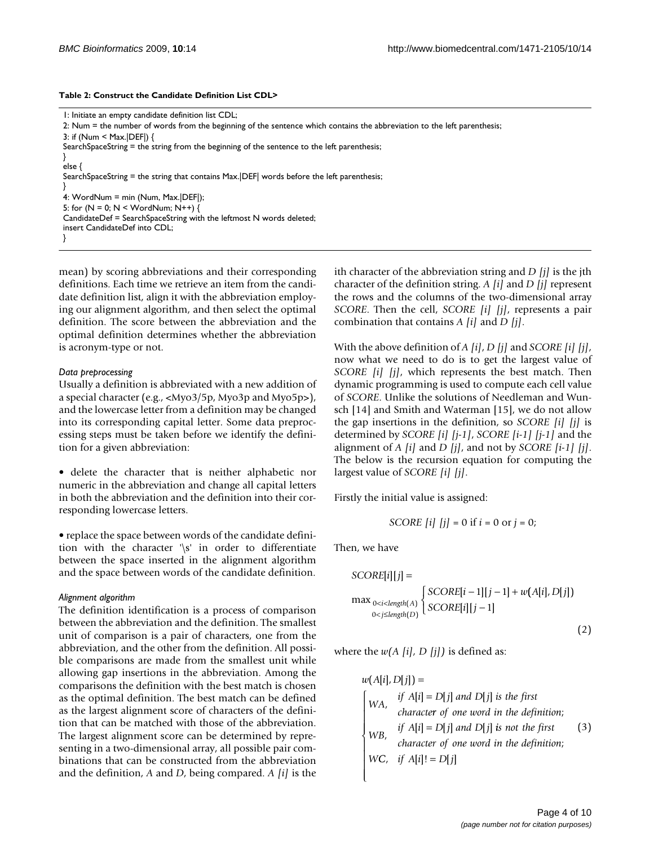#### <span id="page-3-0"></span>**Table 2: Construct the Candidate Definition List CDL>**

| I: Initiate an empty candidate definition list CDL;                                                                      |
|--------------------------------------------------------------------------------------------------------------------------|
| 2: Num = the number of words from the beginning of the sentence which contains the abbreviation to the left parenthesis; |
| 3: if (Num < Max. $ DEF $ ) {                                                                                            |
| SearchSpaceString = the string from the beginning of the sentence to the left parenthesis;                               |
|                                                                                                                          |
| else {                                                                                                                   |
| SearchSpaceString = the string that contains Max. DEF words before the left parenthesis;                                 |
|                                                                                                                          |
| 4: WordNum = min (Num, Max. $ DEF $ );                                                                                   |
| 5: for $(N = 0; N < WordNum; N++)$ {                                                                                     |
| CandidateDef = SearchSpaceString with the leftmost N words deleted;                                                      |
| insert CandidateDef into CDL;                                                                                            |
|                                                                                                                          |

mean) by scoring abbreviations and their corresponding definitions. Each time we retrieve an item from the candidate definition list, align it with the abbreviation employing our alignment algorithm, and then select the optimal definition. The score between the abbreviation and the optimal definition determines whether the abbreviation is acronym-type or not.

#### *Data preprocessing*

Usually a definition is abbreviated with a new addition of a special character (e.g., <Myo3/5p, Myo3p and Myo5p>), and the lowercase letter from a definition may be changed into its corresponding capital letter. Some data preprocessing steps must be taken before we identify the definition for a given abbreviation:

• delete the character that is neither alphabetic nor numeric in the abbreviation and change all capital letters in both the abbreviation and the definition into their corresponding lowercase letters.

• replace the space between words of the candidate definition with the character '\s' in order to differentiate between the space inserted in the alignment algorithm and the space between words of the candidate definition.

#### *Alignment algorithm*

The definition identification is a process of comparison between the abbreviation and the definition. The smallest unit of comparison is a pair of characters, one from the abbreviation, and the other from the definition. All possible comparisons are made from the smallest unit while allowing gap insertions in the abbreviation. Among the comparisons the definition with the best match is chosen as the optimal definition. The best match can be defined as the largest alignment score of characters of the definition that can be matched with those of the abbreviation. The largest alignment score can be determined by representing in a two-dimensional array, all possible pair combinations that can be constructed from the abbreviation and the definition, *A* and *D*, being compared. *A [i]* is the

ith character of the abbreviation string and *D [j]* is the jth character of the definition string. *A [i]* and *D [j]* represent the rows and the columns of the two-dimensional array *SCORE*. Then the cell, *SCORE [i] [j]*, represents a pair combination that contains *A [i]* and *D [j]*.

With the above definition of *A [i]*, *D [j]* and *SCORE [i] [j]*, now what we need to do is to get the largest value of *SCORE [i] [j]*, which represents the best match. Then dynamic programming is used to compute each cell value of *SCORE*. Unlike the solutions of Needleman and Wunsch [[14\]](#page-9-13) and Smith and Waterman [[15](#page-9-14)], we do not allow the gap insertions in the definition, so *SCORE [i] [j]* is determined by *SCORE [i] [j-1]*, *SCORE [i-1] [j-1]* and the alignment of *A [i]* and *D [j]*, and not by *SCORE [i-1] [j]*. The below is the recursion equation for computing the largest value of *SCORE [i] [j]*.

Firstly the initial value is assigned:

**SCORE** [i] [j] = 0 if 
$$
i = 0
$$
 or  $j = 0$ ;

Then, we have

⎩

 $\overline{a}$ 

$$
SCORE[i][j] = \nmax_{0 < i < length(A)} \n\begin{cases}\nSCORE[i-1][j-1] + w(A[i], D[j]) \\
SCORE[i][j-1]\n\end{cases}\n\tag{2}
$$

where the *w(A [i], D [j])* is defined as:

$$
w(A[i], D[j]) =
$$
\n
$$
\begin{cases}\nWA, & if A[i] = D[j] \text{ and } D[j] \text{ is the first} \\
\text{character of one word in the definition;} \\
WB, & if A[i] = D[j] \text{ and } D[j] \text{ is not the first} \\
\text{character of one word in the definition;} \\
WC, & if A[i]! = D[j]\n\end{cases}
$$
\n(3)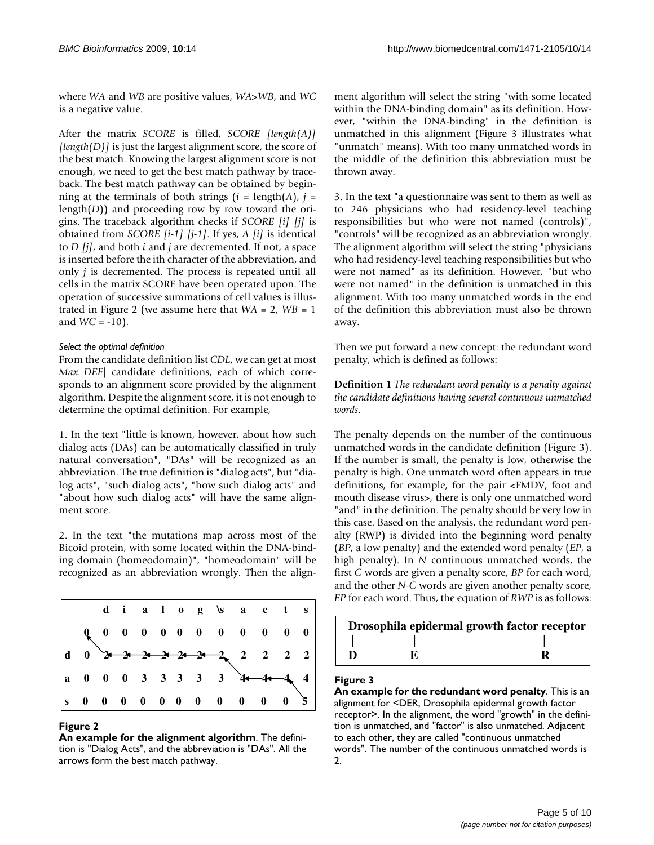where *WA* and *WB* are positive values, *WA*>*WB*, and *WC* is a negative value.

After the matrix *SCORE* is filled, *SCORE [length(A)] [length(D)]* is just the largest alignment score, the score of the best match. Knowing the largest alignment score is not enough, we need to get the best match pathway by traceback. The best match pathway can be obtained by beginning at the terminals of both strings  $(i = \text{length}(A), i =$ length(*D*)) and proceeding row by row toward the origins. The traceback algorithm checks if *SCORE [i] [j]* is obtained from *SCORE [i-1] [j-1]*. If yes, *A [i]* is identical to *D [j]*, and both *i* and *j* are decremented. If not, a space is inserted before the ith character of the abbreviation, and only *j* is decremented. The process is repeated until all cells in the matrix SCORE have been operated upon. The operation of successive summations of cell values is illustrated in Figure [2](#page-4-0) (we assume here that *WA* = 2, *WB* = 1 and  $WC = -10$ ).

# *Select the optimal definition*

From the candidate definition list *CDL*, we can get at most *Max*.|*DEF*| candidate definitions, each of which corresponds to an alignment score provided by the alignment algorithm. Despite the alignment score, it is not enough to determine the optimal definition. For example,

1. In the text "little is known, however, about how such dialog acts (DAs) can be automatically classified in truly natural conversation", "DAs" will be recognized as an abbreviation. The true definition is "dialog acts", but "dialog acts", "such dialog acts", "how such dialog acts" and "about how such dialog acts" will have the same alignment score.

2. In the text "the mutations map across most of the Bicoid protein, with some located within the DNA-binding domain (homeodomain)", "homeodomain" will be recognized as an abbreviation wrongly. Then the align-

<span id="page-4-0"></span>

# **Figure 2**

**An example for the alignment algorithm**. The definition is "Dialog Acts", and the abbreviation is "DAs". All the arrows form the best match pathway.

ment algorithm will select the string "with some located within the DNA-binding domain" as its definition. However, "within the DNA-binding" in the definition is unmatched in this alignment (Figure [3](#page-4-1) illustrates what "unmatch" means). With too many unmatched words in the middle of the definition this abbreviation must be thrown away.

3. In the text "a questionnaire was sent to them as well as to 246 physicians who had residency-level teaching responsibilities but who were not named (controls)", "controls" will be recognized as an abbreviation wrongly. The alignment algorithm will select the string "physicians who had residency-level teaching responsibilities but who were not named" as its definition. However, "but who were not named" in the definition is unmatched in this alignment. With too many unmatched words in the end of the definition this abbreviation must also be thrown away.

Then we put forward a new concept: the redundant word penalty, which is defined as follows:

**Definition 1** *The redundant word penalty is a penalty against the candidate definitions having several continuous unmatched words*.

The penalty depends on the number of the continuous unmatched words in the candidate definition (Figure [3\)](#page-4-1). If the number is small, the penalty is low, otherwise the penalty is high. One unmatch word often appears in true definitions, for example, for the pair <FMDV, foot and mouth disease virus>, there is only one unmatched word "and" in the definition. The penalty should be very low in this case. Based on the analysis, the redundant word penalty (RWP) is divided into the beginning word penalty (*BP*, a low penalty) and the extended word penalty (*EP*, a high penalty). In *N* continuous unmatched words, the first *C* words are given a penalty score, *BP* for each word, and the other *N-C* words are given another penalty score, *EP* for each word. Thus, the equation of *RWP* is as follows:

<span id="page-4-1"></span>

# **Figure 3**

**An example for the redundant word penalty**. This is an alignment for <DER, Drosophila epidermal growth factor receptor>. In the alignment, the word "growth" in the definition is unmatched, and "factor" is also unmatched. Adjacent to each other, they are called "continuous unmatched words". The number of the continuous unmatched words is 2.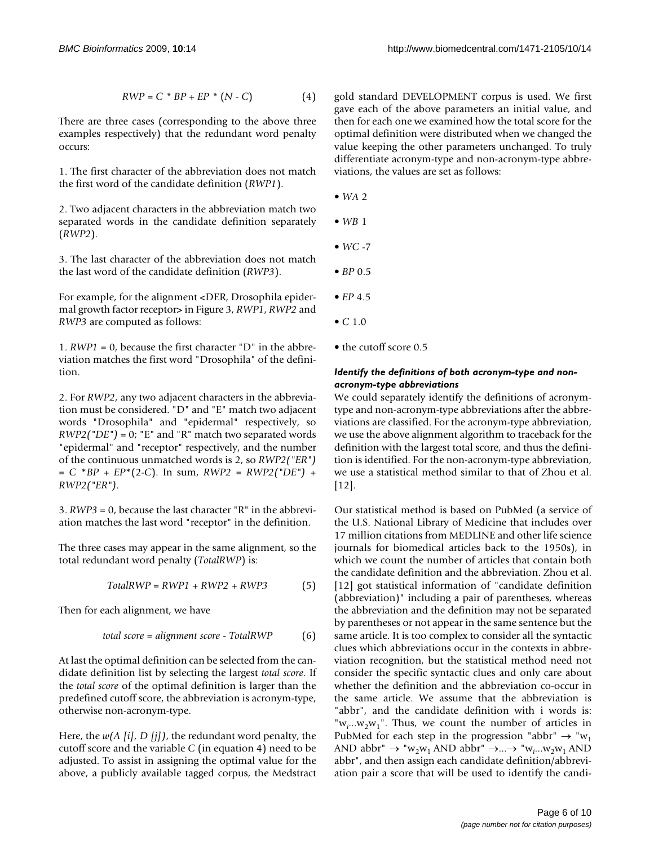$$
RWP = C * BP + EP * (N - C)
$$
 (4)

There are three cases (corresponding to the above three examples respectively) that the redundant word penalty occurs:

1. The first character of the abbreviation does not match the first word of the candidate definition (*RWP1*).

2. Two adjacent characters in the abbreviation match two separated words in the candidate definition separately (*RWP2*).

3. The last character of the abbreviation does not match the last word of the candidate definition (*RWP3*).

For example, for the alignment <DER, Drosophila epidermal growth factor receptor> in Figure [3,](#page-4-1) *RWP1*, *RWP2* and *RWP3* are computed as follows:

1. *RWP1* = 0, because the first character "D" in the abbreviation matches the first word "Drosophila" of the definition.

2. For *RWP2*, any two adjacent characters in the abbreviation must be considered. "D" and "E" match two adjacent words "Drosophila" and "epidermal" respectively, so *RWP2("DE")* = 0; "E" and "R" match two separated words "epidermal" and "receptor" respectively, and the number of the continuous unmatched words is 2, so *RWP2("ER")* = *C* \**BP* + *EP*\*(2-*C*). In sum, *RWP2* = *RWP2("DE")* + *RWP2("ER")*.

3. *RWP3* = 0, because the last character "R" in the abbreviation matches the last word "receptor" in the definition.

The three cases may appear in the same alignment, so the total redundant word penalty (*TotalRWP*) is:

*TotalRWP* = *RWP1* + *RWP2* + *RWP3* (5)

Then for each alignment, we have

$$
total score = alignment score - Total RWP
$$
 (6)

At last the optimal definition can be selected from the candidate definition list by selecting the largest *total score*. If the *total score* of the optimal definition is larger than the predefined cutoff score, the abbreviation is acronym-type, otherwise non-acronym-type.

Here, the *w(A [i], D [j])*, the redundant word penalty, the cutoff score and the variable *C* (in equation 4) need to be adjusted. To assist in assigning the optimal value for the above, a publicly available tagged corpus, the Medstract gold standard DEVELOPMENT corpus is used. We first gave each of the above parameters an initial value, and then for each one we examined how the total score for the optimal definition were distributed when we changed the value keeping the other parameters unchanged. To truly differentiate acronym-type and non-acronym-type abbreviations, the values are set as follows:

- *WA* 2
- $\bullet$  *WB* 1
- $\bullet$  *WC -7*
- *BP* 0.5
- *EP* 4.5
- $\bullet$  C 1.0
- the cutoff score 0.5

# *Identify the definitions of both acronym-type and nonacronym-type abbreviations*

We could separately identify the definitions of acronymtype and non-acronym-type abbreviations after the abbreviations are classified. For the acronym-type abbreviation, we use the above alignment algorithm to traceback for the definition with the largest total score, and thus the definition is identified. For the non-acronym-type abbreviation, we use a statistical method similar to that of Zhou et al. [[12](#page-9-11)].

Our statistical method is based on PubMed (a service of the U.S. National Library of Medicine that includes over 17 million citations from MEDLINE and other life science journals for biomedical articles back to the 1950s), in which we count the number of articles that contain both the candidate definition and the abbreviation. Zhou et al. [[12](#page-9-11)] got statistical information of "candidate definition (abbreviation)" including a pair of parentheses, whereas the abbreviation and the definition may not be separated by parentheses or not appear in the same sentence but the same article. It is too complex to consider all the syntactic clues which abbreviations occur in the contexts in abbreviation recognition, but the statistical method need not consider the specific syntactic clues and only care about whether the definition and the abbreviation co-occur in the same article. We assume that the abbreviation is "abbr", and the candidate definition with i words is: " $w_i...w_2w_1$ ". Thus, we count the number of articles in PubMed for each step in the progression "abbr"  $\rightarrow$  " $w_1$ AND abbr"  $\rightarrow$  "w<sub>2</sub>w<sub>1</sub> AND abbr"  $\rightarrow$ ... $\rightarrow$  "w<sub>*i*</sub>...w<sub>2</sub>w<sub>1</sub> AND abbr", and then assign each candidate definition/abbreviation pair a score that will be used to identify the candi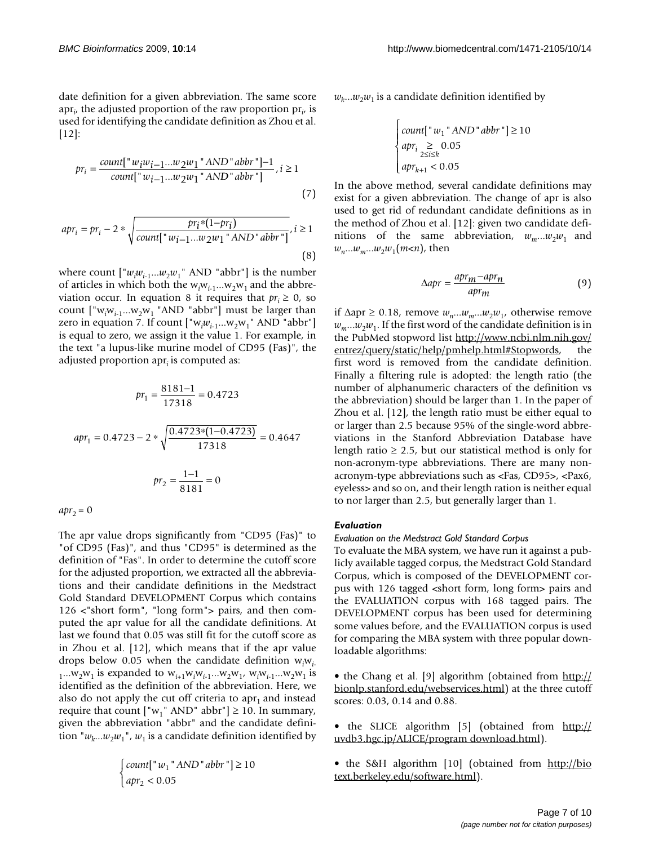date definition for a given abbreviation. The same score apr*<sup>i</sup>* , the adjusted proportion of the raw proportion pr*<sup>i</sup>* , is used for identifying the candidate definition as Zhou et al. [[12](#page-9-11)]:

$$
pr_i = \frac{count["w_iw_{i-1}...w_2w_1" AND "abbr"] - 1}{count["w_{i-1}...w_2w_1" AND "abbr"]}, i \ge 1
$$
\n(7)

$$
apr_i = pr_i - 2 * \sqrt{\frac{pr_i * (1 - pr_i)}{count["w_{i-1}...w_2w_1" AND "abbr"]}, i \ge 1
$$
\n(8)

where count  $["w_iw_{i-1}...w_2w_1"$  AND "abbr"] is the number of articles in which both the  $w_iw_{i-1}...w_2w_1$  and the abbreviation occur. In equation 8 it requires that  $pr_i \geq 0$ , so count ["w*<sup>i</sup>* w*i*-1...w2w1 "AND "abbr"] must be larger than zero in equation 7. If count  $\left[$  "w<sub>i</sub>w<sub>i-1</sub>...w<sub>2</sub>w<sub>1</sub>" AND "abbr"] is equal to zero, we assign it the value 1. For example, in the text "a lupus-like murine model of CD95 (Fas)", the adjusted proportion apr*i* is computed as:

$$
pr_1 = \frac{8181 - 1}{17318} = 0.4723
$$
  

$$
apr_1 = 0.4723 - 2 * \sqrt{\frac{0.4723 * (1 - 0.4723)}{17318}} = 0.4647
$$
  

$$
pr_2 = \frac{1 - 1}{8181} = 0
$$

```
apr<sub>2</sub> = 0
```
The apr value drops significantly from "CD95 (Fas)" to "of CD95 (Fas)", and thus "CD95" is determined as the definition of "Fas". In order to determine the cutoff score for the adjusted proportion, we extracted all the abbreviations and their candidate definitions in the Medstract Gold Standard DEVELOPMENT Corpus which contains 126 <"short form", "long form"> pairs, and then computed the apr value for all the candidate definitions. At last we found that 0.05 was still fit for the cutoff score as in Zhou et al. [[12](#page-9-11)], which means that if the apr value drops below 0.05 when the candidate definition w*<sup>i</sup>* w*i*-1...w<sub>2</sub>w<sub>1</sub> is expanded to  $w_{i+1}w_iw_{i-1}...w_2w_1$ ,  $w_iw_{i-1}...w_2w_1$  is identified as the definition of the abbreviation. Here, we also do not apply the cut off criteria to  $apr<sub>1</sub>$  and instead require that count  $\lceil "w_1" \text{ AND}" \text{ abbr}"\rceil \ge 10$ . In summary, given the abbreviation "abbr" and the candidate definition " $w_k...w_2w_1$ ",  $w_1$  is a candidate definition identified by

$$
\begin{cases} count["w_1" AND "abbr"] \ge 10 \\ apr_2 < 0.05 \end{cases}
$$

 $w_k...w_2w_1$  is a candidate definition identified by

$$
\begin{cases}\ncount[" w_1" AND "abbr"] \ge 10 \\
apr_i \ge 0.05 \\
apr_{k+1} < 0.05\n\end{cases}
$$

In the above method, several candidate definitions may exist for a given abbreviation. The change of apr is also used to get rid of redundant candidate definitions as in the method of Zhou et al. [\[12\]](#page-9-11): given two candidate definitions of the same abbreviation,  $w_m...w_2w_1$  and  $w_n...w_m...w_2w_1(m < n)$ , then

$$
\Delta apr = \frac{apr_m - apr_n}{apr_m} \tag{9}
$$

if  $\Delta$ apr  $\geq$  0.18, remove  $w_n...w_m...w_2w_1$ , otherwise remove  $w_{m}...w_{2}w_{1}$ . If the first word of the candidate definition is in the PubMed stopword list [http://www.ncbi.nlm.nih.gov/](http://www.ncbi.nlm.nih.gov/entrez/query/static/help/pmhelp.html#Stopwords) [entrez/query/static/help/pmhelp.html#Stopwords](http://www.ncbi.nlm.nih.gov/entrez/query/static/help/pmhelp.html#Stopwords), the first word is removed from the candidate definition. Finally a filtering rule is adopted: the length ratio (the number of alphanumeric characters of the definition vs the abbreviation) should be larger than 1. In the paper of Zhou et al. [[12\]](#page-9-11), the length ratio must be either equal to or larger than 2.5 because 95% of the single-word abbreviations in the Stanford Abbreviation Database have length ratio  $\geq 2.5$ , but our statistical method is only for non-acronym-type abbreviations. There are many nonacronym-type abbreviations such as <Fas, CD95>, <Pax6, eyeless> and so on, and their length ration is neither equal to nor larger than 2.5, but generally larger than 1.

#### *Evaluation*

#### *Evaluation on the Medstract Gold Standard Corpus*

To evaluate the MBA system, we have run it against a publicly available tagged corpus, the Medstract Gold Standard Corpus, which is composed of the DEVELOPMENT corpus with 126 tagged <short form, long form> pairs and the EVALUATION corpus with 168 tagged pairs. The DEVELOPMENT corpus has been used for determining some values before, and the EVALUATION corpus is used for comparing the MBA system with three popular downloadable algorithms:

• the Chang et al. [[9](#page-9-8)] algorithm (obtained from [http://](http://bionlp.stanford.edu/webservices.html) [bionlp.stanford.edu/webservices.html\)](http://bionlp.stanford.edu/webservices.html) at the three cutoff scores: 0.03, 0.14 and 0.88.

- the SLICE algorithm [\[5\]](#page-9-4) (obtained from [http://](http://uvdb3.hgc.jp/ALICE/program download.html) [uvdb3.hgc.jp/ALICE/program download.html\)](http://uvdb3.hgc.jp/ALICE/program download.html).
- the S&H algorithm [[10\]](#page-9-9) (obtained from [http://bio](http://biotext.berkeley.edu/software.html) [text.berkeley.edu/software.html\)](http://biotext.berkeley.edu/software.html).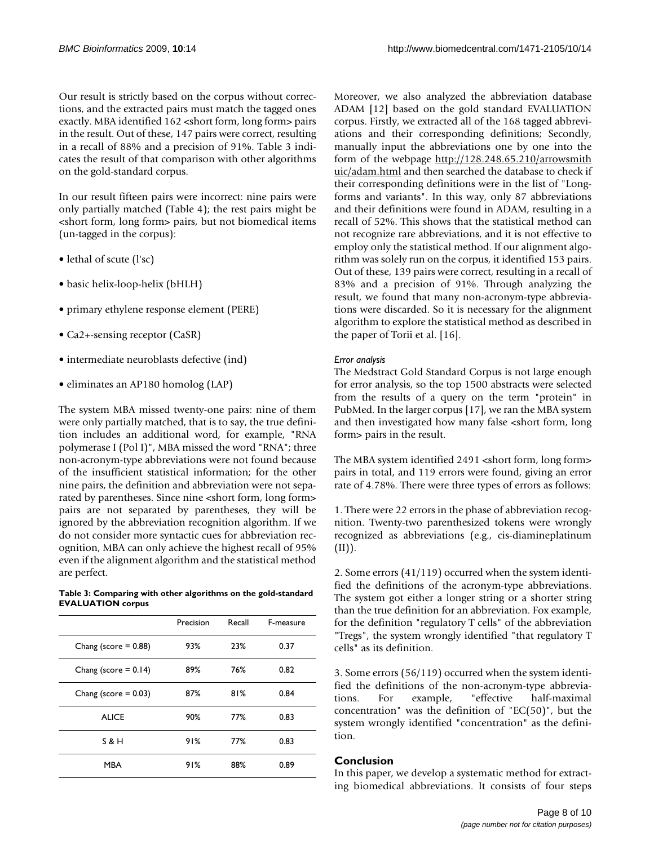Our result is strictly based on the corpus without corrections, and the extracted pairs must match the tagged ones exactly. MBA identified 162 <short form, long form> pairs in the result. Out of these, 147 pairs were correct, resulting in a recall of 88% and a precision of 91%. Table [3](#page-7-0) indicates the result of that comparison with other algorithms on the gold-standard corpus.

In our result fifteen pairs were incorrect: nine pairs were only partially matched (Table [4](#page-8-0)); the rest pairs might be <short form, long form> pairs, but not biomedical items (un-tagged in the corpus):

- lethal of scute (l'sc)
- basic helix-loop-helix (bHLH)
- primary ethylene response element (PERE)
- Ca2+-sensing receptor (CaSR)
- intermediate neuroblasts defective (ind)
- eliminates an AP180 homolog (LAP)

The system MBA missed twenty-one pairs: nine of them were only partially matched, that is to say, the true definition includes an additional word, for example, "RNA polymerase I (Pol I)", MBA missed the word "RNA"; three non-acronym-type abbreviations were not found because of the insufficient statistical information; for the other nine pairs, the definition and abbreviation were not separated by parentheses. Since nine <short form, long form> pairs are not separated by parentheses, they will be ignored by the abbreviation recognition algorithm. If we do not consider more syntactic cues for abbreviation recognition, MBA can only achieve the highest recall of 95% even if the alignment algorithm and the statistical method are perfect.

<span id="page-7-0"></span>**Table 3: Comparing with other algorithms on the gold-standard EVALUATION corpus**

|                         | Precision | Recall | F-measure |
|-------------------------|-----------|--------|-----------|
| Chang (score $= 0.88$ ) | 93%       | 23%    | 0.37      |
| Chang (score $= 0.14$ ) | 89%       | 76%    | 0.82      |
| Chang (score $= 0.03$ ) | 87%       | 81%    | 0.84      |
| <b>ALICE</b>            | 90%       | 77%    | 0.83      |
| <b>S &amp; H</b>        | 91%       | 77%    | 0.83      |
| <b>MBA</b>              | 91%       | 88%    | 0.89      |

Moreover, we also analyzed the abbreviation database ADAM [\[12](#page-9-11)] based on the gold standard EVALUATION corpus. Firstly, we extracted all of the 168 tagged abbreviations and their corresponding definitions; Secondly, manually input the abbreviations one by one into the form of the webpage [http://128.248.65.210/arrowsmith](http://128.248.65.210/arrowsmith uic/adam.html) [uic/adam.html](http://128.248.65.210/arrowsmith uic/adam.html) and then searched the database to check if their corresponding definitions were in the list of "Longforms and variants". In this way, only 87 abbreviations and their definitions were found in ADAM, resulting in a recall of 52%. This shows that the statistical method can not recognize rare abbreviations, and it is not effective to employ only the statistical method. If our alignment algorithm was solely run on the corpus, it identified 153 pairs. Out of these, 139 pairs were correct, resulting in a recall of 83% and a precision of 91%. Through analyzing the result, we found that many non-acronym-type abbreviations were discarded. So it is necessary for the alignment algorithm to explore the statistical method as described in the paper of Torii et al. [\[16\]](#page-9-15).

# *Error analysis*

The Medstract Gold Standard Corpus is not large enough for error analysis, so the top 1500 abstracts were selected from the results of a query on the term "protein" in PubMed. In the larger corpus [[17\]](#page-9-16), we ran the MBA system and then investigated how many false <short form, long form> pairs in the result.

The MBA system identified 2491 <short form, long form> pairs in total, and 119 errors were found, giving an error rate of 4.78%. There were three types of errors as follows:

1. There were 22 errors in the phase of abbreviation recognition. Twenty-two parenthesized tokens were wrongly recognized as abbreviations (e.g., cis-diamineplatinum (II)).

2. Some errors (41/119) occurred when the system identified the definitions of the acronym-type abbreviations. The system got either a longer string or a shorter string than the true definition for an abbreviation. Fox example, for the definition "regulatory T cells" of the abbreviation "Tregs", the system wrongly identified "that regulatory T cells" as its definition.

3. Some errors (56/119) occurred when the system identified the definitions of the non-acronym-type abbreviations. For example, "effective half-maximal concentration" was the definition of "EC(50)", but the system wrongly identified "concentration" as the definition.

# **Conclusion**

In this paper, we develop a systematic method for extracting biomedical abbreviations. It consists of four steps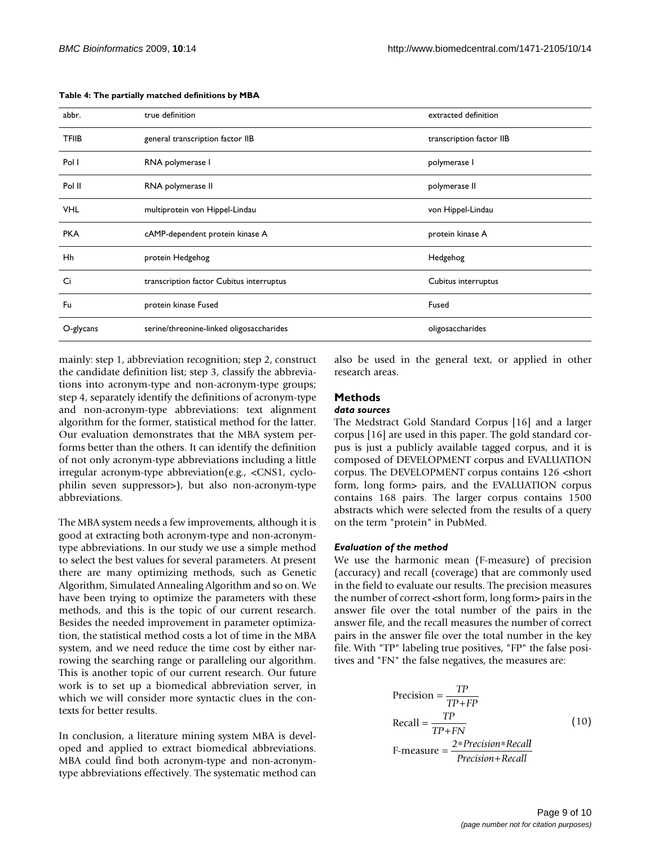| abbr.        | true definition                          | extracted definition     |
|--------------|------------------------------------------|--------------------------|
| <b>TFIIB</b> | general transcription factor IIB         | transcription factor IIB |
| Pol I        | RNA polymerase I                         | polymerase I             |
| Pol II       | RNA polymerase II                        | polymerase II            |
| <b>VHL</b>   | multiprotein von Hippel-Lindau           | von Hippel-Lindau        |
| <b>PKA</b>   | cAMP-dependent protein kinase A          | protein kinase A         |
| Hh           | protein Hedgehog                         | Hedgehog                 |
| Ci           | transcription factor Cubitus interruptus | Cubitus interruptus      |
| Fu           | protein kinase Fused                     | Fused                    |
| O-glycans    | serine/threonine-linked oligosaccharides | oligosaccharides         |

#### <span id="page-8-0"></span>**Table 4: The partially matched definitions by MBA**

mainly: step 1, abbreviation recognition; step 2, construct the candidate definition list; step 3, classify the abbreviations into acronym-type and non-acronym-type groups; step 4, separately identify the definitions of acronym-type and non-acronym-type abbreviations: text alignment algorithm for the former, statistical method for the latter. Our evaluation demonstrates that the MBA system performs better than the others. It can identify the definition of not only acronym-type abbreviations including a little irregular acronym-type abbreviation(e.g., <CNS1, cyclophilin seven suppressor>), but also non-acronym-type abbreviations.

The MBA system needs a few improvements, although it is good at extracting both acronym-type and non-acronymtype abbreviations. In our study we use a simple method to select the best values for several parameters. At present there are many optimizing methods, such as Genetic Algorithm, Simulated Annealing Algorithm and so on. We have been trying to optimize the parameters with these methods, and this is the topic of our current research. Besides the needed improvement in parameter optimization, the statistical method costs a lot of time in the MBA system, and we need reduce the time cost by either narrowing the searching range or paralleling our algorithm. This is another topic of our current research. Our future work is to set up a biomedical abbreviation server, in which we will consider more syntactic clues in the contexts for better results.

In conclusion, a literature mining system MBA is developed and applied to extract biomedical abbreviations. MBA could find both acronym-type and non-acronymtype abbreviations effectively. The systematic method can

also be used in the general text, or applied in other research areas.

# **Methods**

#### *data sources*

The Medstract Gold Standard Corpus [\[16\]](#page-9-15) and a larger corpus [\[16](#page-9-15)] are used in this paper. The gold standard corpus is just a publicly available tagged corpus, and it is composed of DEVELOPMENT corpus and EVALUATION corpus. The DEVELOPMENT corpus contains 126 <short form, long form> pairs, and the EVALUATION corpus contains 168 pairs. The larger corpus contains 1500 abstracts which were selected from the results of a query on the term "protein" in PubMed.

#### *Evaluation of the method*

We use the harmonic mean (F-measure) of precision (accuracy) and recall (coverage) that are commonly used in the field to evaluate our results. The precision measures the number of correct <short form, long form> pairs in the answer file over the total number of the pairs in the answer file, and the recall measures the number of correct pairs in the answer file over the total number in the key file. With "TP" labeling true positives, "FP" the false positives and "FN" the false negatives, the measures are:

$$
Precision = \frac{TP}{TP + FP}
$$
  
Recall =  $\frac{TP}{TP + FN}$  (10)  
F-measure =  $\frac{2*Precision*Recall}{Precision + Recall}$